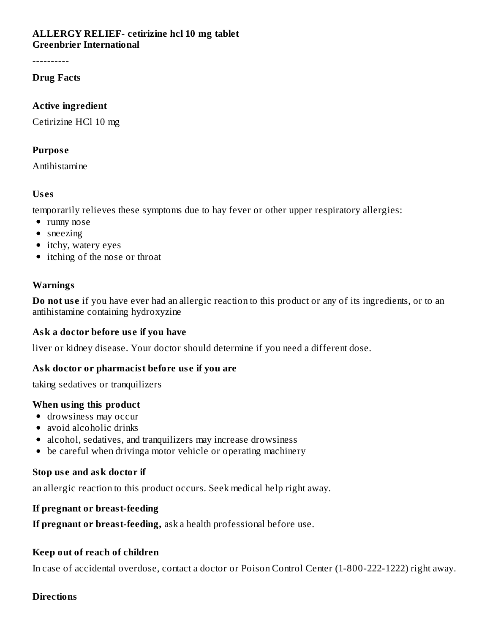#### **ALLERGY RELIEF- cetirizine hcl 10 mg tablet Greenbrier International**

----------

#### **Drug Facts**

#### **Active ingredient**

Cetirizine HCl 10 mg

#### **Purpos e**

Antihistamine

## **Us es**

temporarily relieves these symptoms due to hay fever or other upper respiratory allergies:

- runny nose
- sneezing
- itchy, watery eyes
- itching of the nose or throat

# **Warnings**

**Do** not use if you have ever had an allergic reaction to this product or any of its ingredients, or to an antihistamine containing hydroxyzine

## **Ask a doctor before us e if you have**

liver or kidney disease. Your doctor should determine if you need a different dose.

## **Ask doctor or pharmacist before us e if you are**

taking sedatives or tranquilizers

## **When using this product**

- drowsiness may occur
- avoid alcoholic drinks
- alcohol, sedatives, and tranquilizers may increase drowsiness
- be careful when drivinga motor vehicle or operating machinery

## **Stop us e and ask doctor if**

an allergic reaction to this product occurs. Seek medical help right away.

## **If pregnant or breast-feeding**

**If pregnant or breast-feeding,** ask a health professional before use.

## **Keep out of reach of children**

In case of accidental overdose, contact a doctor or Poison Control Center (1-800-222-1222) right away.

#### **Directions**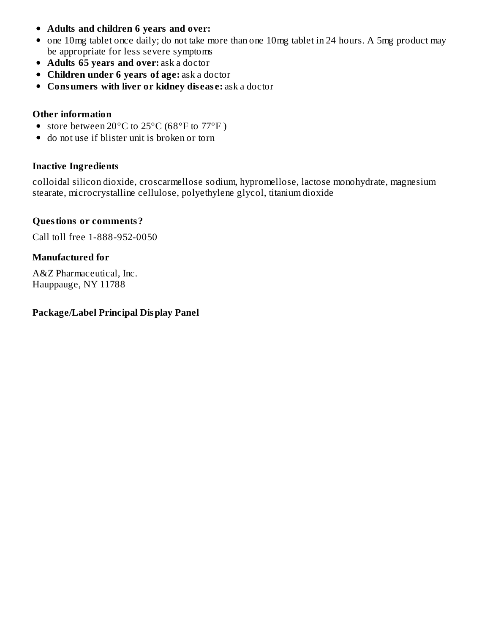- **Adults and children 6 years and over:**
- one 10mg tablet once daily; do not take more than one 10mg tablet in 24 hours. A 5mg product may be appropriate for less severe symptoms
- **Adults 65 years and over:** ask a doctor
- **Children under 6 years of age:** ask a doctor
- **Consumers with liver or kidney dis eas e:** ask a doctor

#### **Other information**

- store between 20°C to 25°C (68°F to 77°F)
- do not use if blister unit is broken or torn

## **Inactive Ingredients**

colloidal silicon dioxide, croscarmellose sodium, hypromellose, lactose monohydrate, magnesium stearate, microcrystalline cellulose, polyethylene glycol, titanium dioxide

## **Questions or comments?**

Call toll free 1-888-952-0050

## **Manufactured for**

A&Z Pharmaceutical, Inc. Hauppauge, NY 11788

#### **Package/Label Principal Display Panel**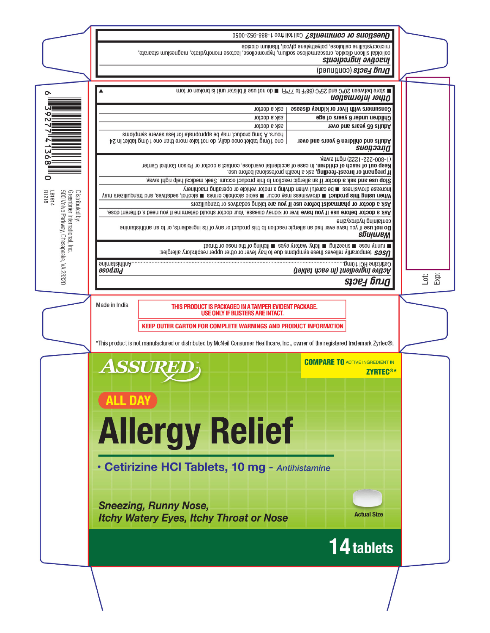|                                                                                                                                                                                                                              | <b>Questions or comments?</b> Call toll free 1-888-952-0050 |  |  |  |  |
|------------------------------------------------------------------------------------------------------------------------------------------------------------------------------------------------------------------------------|-------------------------------------------------------------|--|--|--|--|
| microcrystalline cellulose, polyethylene glycol, titanium dioxide<br>colloidal silicon dioxide, croscarmellose sodium, hypromellose, lactose monohydrate, magnesium stearate,<br>зџиәјрәлбиі әлдовиј<br>panunuoo) spoey bnug |                                                             |  |  |  |  |
|                                                                                                                                                                                                                              |                                                             |  |  |  |  |
| m store between 20°C and 25°C (68°F to 77°F) m do not use if blister unit is broken or torn<br>Other information                                                                                                             |                                                             |  |  |  |  |
| ask a doctor                                                                                                                                                                                                                 | Consumers with liver or kidney disease                      |  |  |  |  |
| ask a doctor                                                                                                                                                                                                                 | Children under 6 years of age                               |  |  |  |  |
| ask a doctor                                                                                                                                                                                                                 | Adults 65 years and over                                    |  |  |  |  |
| hours. A 5mg product may be appropriate for less severe symptoms<br>one 10mg tablet once daily; do not take more than one 10mg tablet in 24                                                                                  | Adults and children 6 years and over<br>сиодоәла            |  |  |  |  |
| (1-800-222-1222) right away.<br>Keep out of reach of children. In case of accidental overdose, contact a doctor or Poison Control Center<br>If pregnant or breast-feeding, ask a health professional before use.             |                                                             |  |  |  |  |
| Stop use and ask a doctor if an allergic reaction to this product occurs. Seek medical help right away.                                                                                                                      |                                                             |  |  |  |  |
| increase drowsiness ■ pe caretul when driving a motor vehicle or operating machinery<br>When using this product ■ drowsiness may occur ■ avoid alcoholic drinks ■ alcohol, sedatives, and trandullizers may                  |                                                             |  |  |  |  |
| Ask a doctor or pharmacist before use if you are taking sedatives or tranguilizers                                                                                                                                           |                                                             |  |  |  |  |
| Ask a doctor before use if you have liver or kidney disease. Your doctor should determine if you need a different dose.                                                                                                      |                                                             |  |  |  |  |
| couraining p.yoxyzine<br>Do not use if you have ever had an allergic reaction to this product or any of its ingredients, or to an antihistamine<br>sbujujem                                                                  |                                                             |  |  |  |  |
|                                                                                                                                                                                                                              |                                                             |  |  |  |  |

Lationy nose Lauesting Elichy, watery eyes Eliching of the nose or throat<br>Lationy nose Laues and the Marie of the symptoms due to hay fever or other upper respiratory allergies:

snimstaininnA. **asod.ind** 

 $\Omega$ 

 $\overline{a}$  $\Omega$ ŏ ō

LB1614<br>R1218

Distributed by:<br>Greenbrier International, Inc.<br>500 Volvo Parkway, Chesapeake, VA 23320

*sige4 bnid* 

 $\mathsf{Lot}$ Exp:

(təldst nəsə ni) tnəibərgni əvitəA<br>Cetirizin Ingil 10mg, <sub>www</sub>.

THIS PRODUCT IS PACKAGED IN A TAMPER EVIDENT PACKAGE. **USE ONLY IF BLISTERS ARE INTACT.** 

Made in India

**KEEP OUTER CARTON FOR COMPLETE WARNINGS AND PRODUCT INFORMATION** 

\*This product is not manufactured or distributed by McNeil Consumer Healthcare, Inc., owner of the registered trademark Zyrtec®.

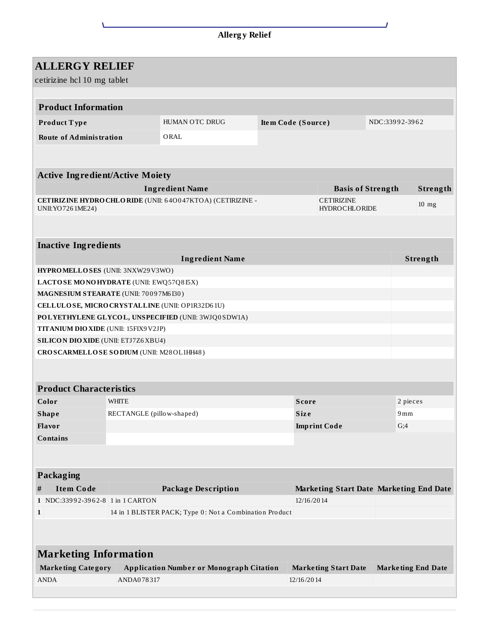| <b>Allergy Relief</b> |
|-----------------------|
|-----------------------|

| <b>ALLERGY RELIEF</b>                                     |                                        |                           |                                                         |                    |                   |                                                |                |     |                           |  |
|-----------------------------------------------------------|----------------------------------------|---------------------------|---------------------------------------------------------|--------------------|-------------------|------------------------------------------------|----------------|-----|---------------------------|--|
| cetirizine hcl 10 mg tablet                               |                                        |                           |                                                         |                    |                   |                                                |                |     |                           |  |
|                                                           |                                        |                           |                                                         |                    |                   |                                                |                |     |                           |  |
|                                                           | <b>Product Information</b>             |                           |                                                         |                    |                   |                                                |                |     |                           |  |
|                                                           | Product Type                           |                           | HUMAN OTC DRUG                                          | Item Code (Source) |                   |                                                | NDC:33992-3962 |     |                           |  |
|                                                           | <b>Route of Administration</b>         |                           | ORAL                                                    |                    |                   |                                                |                |     |                           |  |
|                                                           |                                        |                           |                                                         |                    |                   |                                                |                |     |                           |  |
|                                                           |                                        |                           |                                                         |                    |                   |                                                |                |     |                           |  |
|                                                           | <b>Active Ingredient/Active Moiety</b> |                           |                                                         |                    |                   |                                                |                |     |                           |  |
|                                                           |                                        |                           | <b>Ingredient Name</b>                                  |                    |                   | <b>Basis of Strength</b>                       |                |     | Strength                  |  |
| CETIRIZINE HYDROCHLORIDE (UNII: 640047KTOA) (CETIRIZINE - |                                        |                           |                                                         |                    | <b>CETIRIZINE</b> |                                                |                |     |                           |  |
|                                                           | UNII: YO 726 1ME24)                    |                           |                                                         |                    |                   | <b>HYDROCHLORIDE</b>                           |                |     | $10$ mg                   |  |
|                                                           |                                        |                           |                                                         |                    |                   |                                                |                |     |                           |  |
|                                                           |                                        |                           |                                                         |                    |                   |                                                |                |     |                           |  |
|                                                           | <b>Inactive Ingredients</b>            |                           |                                                         |                    |                   |                                                |                |     |                           |  |
|                                                           |                                        |                           | <b>Ingredient Name</b>                                  |                    |                   |                                                |                |     | Strength                  |  |
|                                                           | HYPROMELLOSES (UNII: 3NXW29V3WO)       |                           |                                                         |                    |                   |                                                |                |     |                           |  |
| LACTOSE MONOHYDRATE (UNII: EWQ57Q8I5X)                    |                                        |                           |                                                         |                    |                   |                                                |                |     |                           |  |
| MAGNESIUM STEARATE (UNII: 70097M6I30)                     |                                        |                           |                                                         |                    |                   |                                                |                |     |                           |  |
|                                                           |                                        |                           | CELLULOSE, MICRO CRYSTALLINE (UNII: OP1R32D61U)         |                    |                   |                                                |                |     |                           |  |
|                                                           |                                        |                           | POLYETHYLENE GLYCOL, UNSPECIFIED (UNII: 3WJQ0SDW1A)     |                    |                   |                                                |                |     |                           |  |
| TITANIUM DIO XIDE (UNII: 15FIX9V2JP)                      |                                        |                           |                                                         |                    |                   |                                                |                |     |                           |  |
| <b>SILICON DIO XIDE (UNII: ETJ7Z6 XBU4)</b>               |                                        |                           |                                                         |                    |                   |                                                |                |     |                           |  |
| CROSCARMELLOSE SODIUM (UNII: M28OL1HH48)                  |                                        |                           |                                                         |                    |                   |                                                |                |     |                           |  |
|                                                           |                                        |                           |                                                         |                    |                   |                                                |                |     |                           |  |
|                                                           |                                        |                           |                                                         |                    |                   |                                                |                |     |                           |  |
|                                                           | <b>Product Characteristics</b>         |                           |                                                         |                    |                   |                                                |                |     |                           |  |
| Color                                                     |                                        | <b>WHITE</b>              |                                                         |                    | <b>Score</b>      |                                                | 2 pieces       |     |                           |  |
| <b>Shape</b>                                              |                                        | RECTANGLE (pillow-shaped) |                                                         |                    | Size              |                                                | 9mm            |     |                           |  |
| Flavor                                                    |                                        |                           |                                                         |                    |                   | <b>Imprint Code</b>                            |                | G;4 |                           |  |
|                                                           | <b>Contains</b>                        |                           |                                                         |                    |                   |                                                |                |     |                           |  |
|                                                           |                                        |                           |                                                         |                    |                   |                                                |                |     |                           |  |
|                                                           |                                        |                           |                                                         |                    |                   |                                                |                |     |                           |  |
|                                                           | <b>Packaging</b>                       |                           |                                                         |                    |                   |                                                |                |     |                           |  |
| #                                                         | <b>Item Code</b>                       |                           | <b>Package Description</b>                              |                    |                   | <b>Marketing Start Date Marketing End Date</b> |                |     |                           |  |
|                                                           | 1 NDC:33992-3962-8 1 in 1 CARTON       |                           |                                                         |                    | 12/16/2014        |                                                |                |     |                           |  |
| $\mathbf{1}$                                              |                                        |                           | 14 in 1 BLISTER PACK; Type 0: Not a Combination Product |                    |                   |                                                |                |     |                           |  |
|                                                           |                                        |                           |                                                         |                    |                   |                                                |                |     |                           |  |
|                                                           |                                        |                           |                                                         |                    |                   |                                                |                |     |                           |  |
| <b>Marketing Information</b>                              |                                        |                           |                                                         |                    |                   |                                                |                |     |                           |  |
|                                                           | <b>Marketing Category</b>              |                           | <b>Application Number or Monograph Citation</b>         |                    |                   | <b>Marketing Start Date</b>                    |                |     | <b>Marketing End Date</b> |  |
| <b>ANDA</b>                                               |                                        | ANDA078317                |                                                         |                    | 12/16/2014        |                                                |                |     |                           |  |
|                                                           |                                        |                           |                                                         |                    |                   |                                                |                |     |                           |  |